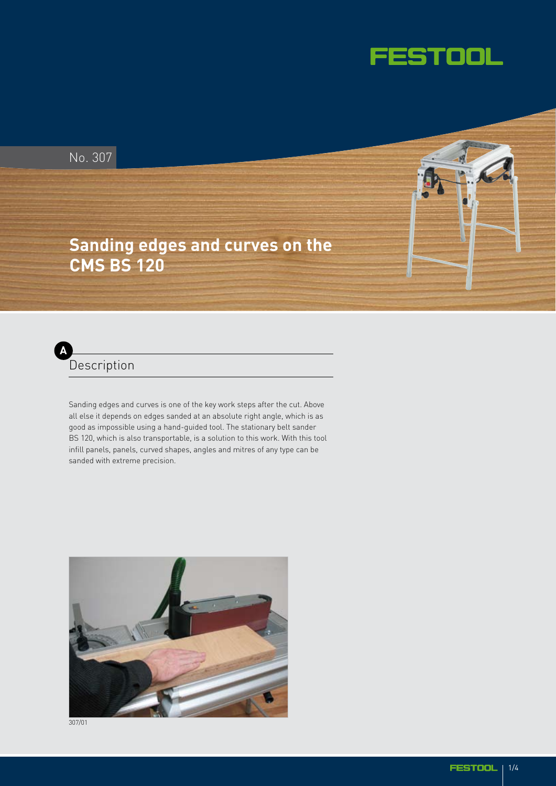

No. 307

## **Sanding edges and curves on the CMS BS 120**



Sanding edges and curves is one of the key work steps after the cut. Above all else it depends on edges sanded at an absolute right angle, which is as good as impossible using a hand-guided tool. The stationary belt sander BS 120, which is also transportable, is a solution to this work. With this tool infill panels, panels, curved shapes, angles and mitres of any type can be sanded with extreme precision.



307/01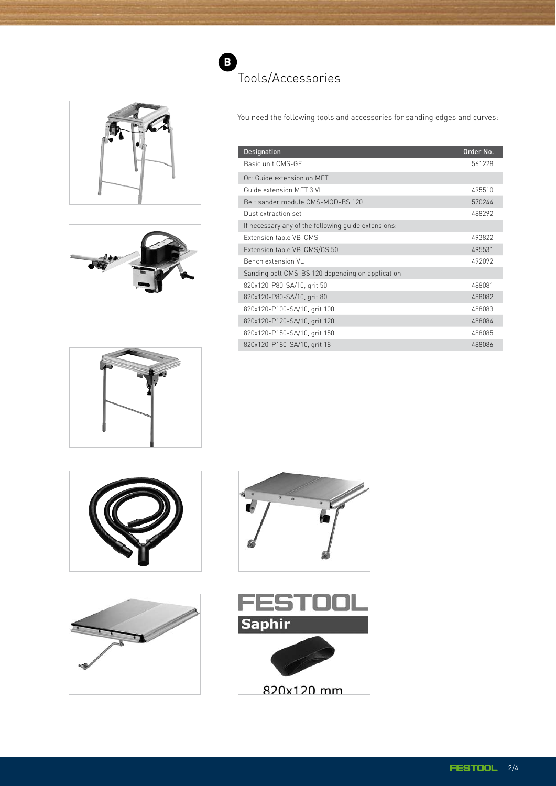





You need the following tools and accessories for sanding edges and curves:

| <b>Designation</b>                                  | Order No. |
|-----------------------------------------------------|-----------|
| Basic unit CMS-GF                                   | 561228    |
| Or: Guide extension on MFT                          |           |
| Guide extension MFT 3 VL                            | 495510    |
| Belt sander module CMS-MOD-BS 120                   | 570244    |
| Dust extraction set                                 | 488292    |
| If necessary any of the following quide extensions: |           |
| Extension table VB-CMS                              | 493822    |
| Extension table VB-CMS/CS 50                        | 495531    |
| Bench extension VI                                  | 492092    |
| Sanding belt CMS-BS 120 depending on application    |           |
| 820x120-P80-SA/10, grit 50                          | 488081    |
| 820x120-P80-SA/10, grit 80                          | 488082    |
| 820x120-P100-SA/10, grit 100                        | 488083    |
| 820x120-P120-SA/10, grit 120                        | 488084    |
| 820x120-P150-SA/10, grit 150                        | 488085    |
| 820x120-P180-SA/10, grit 18                         | 488086    |









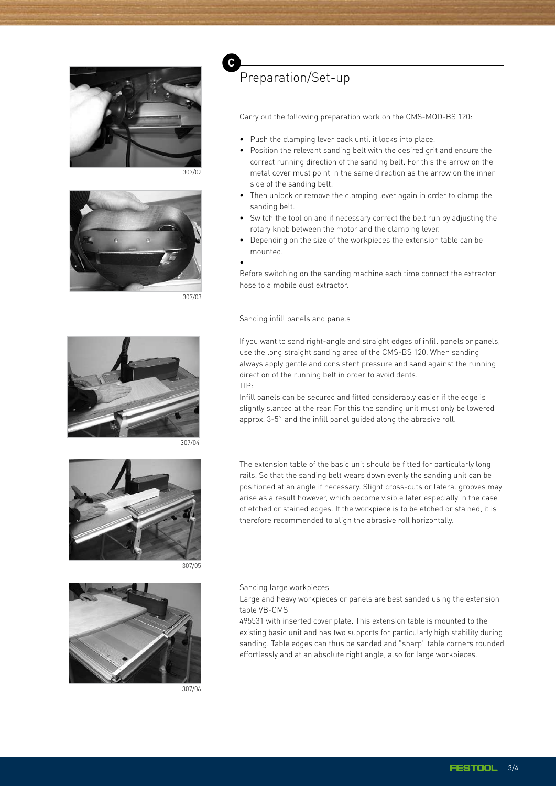

307/02



307/03



307/04



307/05



307/06

## Preparation/Set-up

Carry out the following preparation work on the CMS-MOD-BS 120:

- Push the clamping lever back until it locks into place.
- Position the relevant sanding belt with the desired grit and ensure the correct running direction of the sanding belt. For this the arrow on the metal cover must point in the same direction as the arrow on the inner side of the sanding belt.
- Then unlock or remove the clamping lever again in order to clamp the sanding belt.
- Switch the tool on and if necessary correct the belt run by adjusting the rotary knob between the motor and the clamping lever.
- Depending on the size of the workpieces the extension table can be mounted.
- •

**C**

Before switching on the sanding machine each time connect the extractor hose to a mobile dust extractor.

Sanding infill panels and panels

If you want to sand right-angle and straight edges of infill panels or panels, use the long straight sanding area of the CMS-BS 120. When sanding always apply gentle and consistent pressure and sand against the running direction of the running belt in order to avoid dents. TIP:

Infill panels can be secured and fitted considerably easier if the edge is slightly slanted at the rear. For this the sanding unit must only be lowered approx. 3-5˚ and the infill panel guided along the abrasive roll.

The extension table of the basic unit should be fitted for particularly long rails. So that the sanding belt wears down evenly the sanding unit can be positioned at an angle if necessary. Slight cross-cuts or lateral grooves may arise as a result however, which become visible later especially in the case of etched or stained edges. If the workpiece is to be etched or stained, it is therefore recommended to align the abrasive roll horizontally.

Sanding large workpieces

Large and heavy workpieces or panels are best sanded using the extension table VB-CMS

495531 with inserted cover plate. This extension table is mounted to the existing basic unit and has two supports for particularly high stability during sanding. Table edges can thus be sanded and "sharp" table corners rounded effortlessly and at an absolute right angle, also for large workpieces.